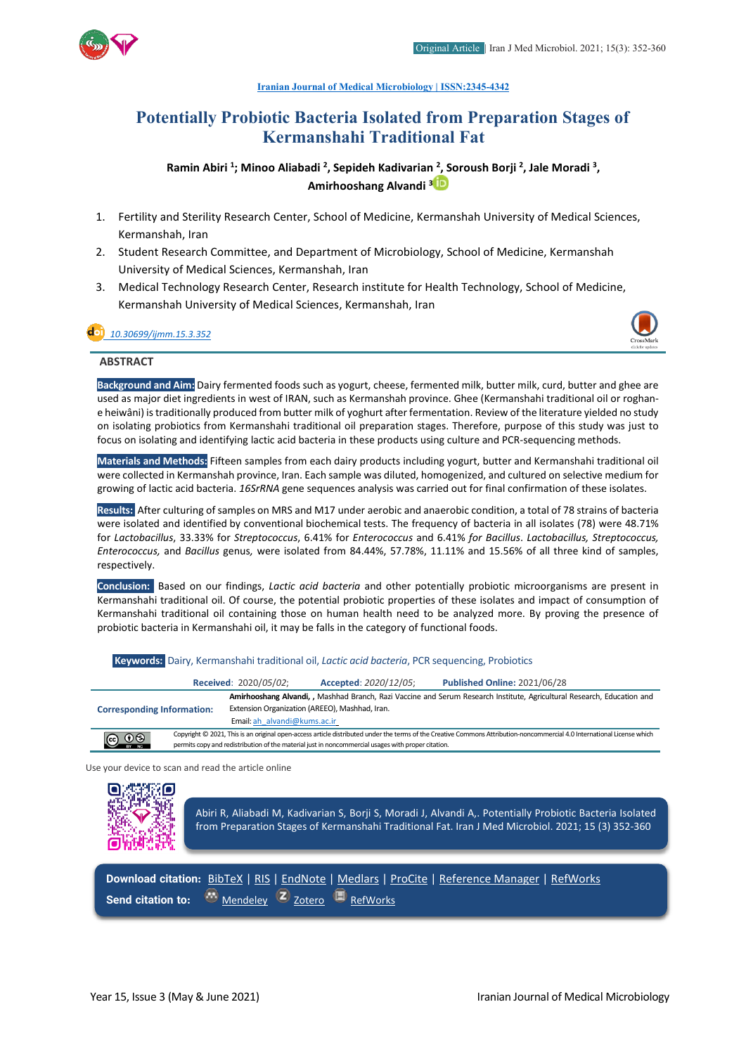

#### **[Iranian Journal of Medical Microbiology |](https://ijmm.ir/) ISSN:2345-4342**

# **Potentially Probiotic Bacteria Isolated from Preparation Stages of Kermanshahi Traditional Fat**

Ramin Abiri <sup>1</sup>; Minoo Aliabadi <sup>2</sup>, Sepideh Kadivarian <sup>2</sup>, Soroush Borji <sup>2</sup>, Jale Moradi <sup>3</sup>, **Amirhooshang Alvandi 3**

- 1. Fertility and Sterility Research Center, School of Medicine, Kermanshah University of Medical Sciences, Kermanshah, Iran
- 2. Student Research Committee, and Department of Microbiology, School of Medicine, Kermanshah University of Medical Sciences, Kermanshah, Iran
- 3. Medical Technology Research Center, Research institute for Health Technology, School of Medicine, Kermanshah University of Medical Sciences, Kermanshah, Iran

## *[10.30699/ijmm.15.3.352](http://dx.doi.org/10.30699/ijmm.15.3.352)*



#### **ABSTRACT**

**Background and Aim:** Dairy fermented foods such as yogurt, cheese, fermented milk, butter milk, curd, butter and ghee are used as major diet ingredients in west of IRAN, such as Kermanshah province. Ghee (Kermanshahi traditional oil or roghane heiwâni) is traditionally produced from butter milk of yoghurt after fermentation. Review of the literature yielded no study on isolating probiotics from Kermanshahi traditional oil preparation stages. Therefore, purpose of this study was just to focus on isolating and identifying lactic acid bacteria in these products using culture and PCR-sequencing methods.

**Materials and Methods:** Fifteen samples from each dairy products including yogurt, butter and Kermanshahi traditional oil were collected in Kermanshah province, Iran. Each sample was diluted, homogenized, and cultured on selective medium for growing of lactic acid bacteria. *16SrRNA* gene sequences analysis was carried out for final confirmation of these isolates.

**Results:** After culturing of samples on MRS and M17 under aerobic and anaerobic condition, a total of 78 strains of bacteria were isolated and identified by conventional biochemical tests. The frequency of bacteria in all isolates (78) were 48.71% for *Lactobacillus*, 33.33% for *Streptococcus*, 6.41% for *Enterococcus* and 6.41% *for Bacillus*. *Lactobacillus, Streptococcus, Enterococcus,* and *Bacillus* genus*,* were isolated from 84.44%, 57.78%, 11.11% and 15.56% of all three kind of samples, respectively.

**Conclusion:** Based on our findings, *Lactic acid bacteria* and other potentially probiotic microorganisms are present in Kermanshahi traditional oil. Of course, the potential probiotic properties of these isolates and impact of consumption of Kermanshahi traditional oil containing those on human health need to be analyzed more. By proving the presence of probiotic bacteria in Kermanshahi oil, it may be falls in the category of functional foods.

**Keywords:** Dairy, Kermanshahi traditional oil, *Lactic acid bacteria*, PCR sequencing, Probiotics

|                                   |  | Received: 2020/05/02;                                                                                                                                                                                     | Accepted: 2020/12/05;                                                                              | <b>Published Online: 2021/06/28</b>                                                                                                                                     |
|-----------------------------------|--|-----------------------------------------------------------------------------------------------------------------------------------------------------------------------------------------------------------|----------------------------------------------------------------------------------------------------|-------------------------------------------------------------------------------------------------------------------------------------------------------------------------|
| <b>Corresponding Information:</b> |  | Amirhooshang Alvandi, , Mashhad Branch, Razi Vaccine and Serum Research Institute, Agricultural Research, Education and<br>Extension Organization (AREEO), Mashhad, Iran.<br>Email: ah alvandi@kums.ac.ir |                                                                                                    |                                                                                                                                                                         |
| $\bigodot$ $\bigodot$ $\bigodot$  |  |                                                                                                                                                                                                           | permits copy and redistribution of the material just in noncommercial usages with proper citation. | Copyright © 2021, This is an original open-access article distributed under the terms of the Creative Commons Attribution-noncommercial 4.0 International License which |

Use your device to scan and read the article online



**Send citation to:**  $\cdot \cdot \cdot$  [Mendeley](http://www.mendeley.com/import/?url=https://ijmm.ir/article-1-1081-en.html) **Z** [Zotero](https://ijmm.ir/web2export.php?a_code=A-10-1349-1&sid=1&slc_lang=en&type=ris) **B** [RefWorks](http://www.refworks.com/express/ExpressImport.asp?vendor=Iran-J-Med-Microbiol&filter=RefWorks%20Tagged%20Format&encoding=65001&url=http%3A%2F%2Fijmm.ir%2Farticle-1-1081-en.html)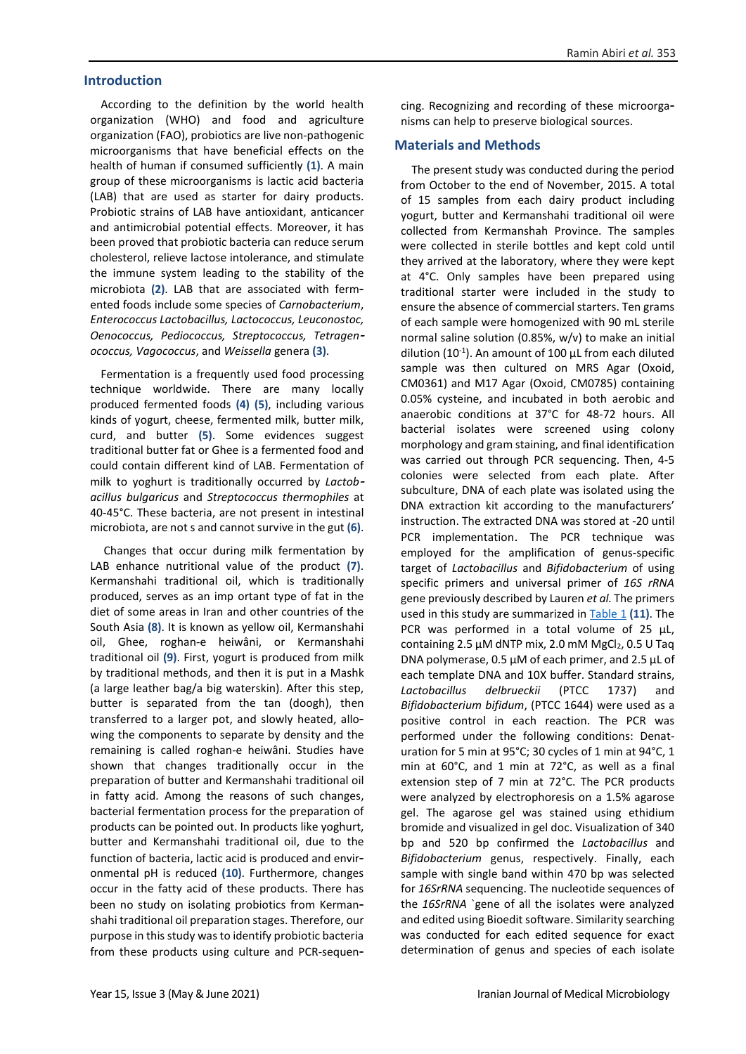#### **Introduction**

According to the definition by the world health organization (WHO) and food and agriculture organization (FAO), probiotics are live non-pathogenic microorganisms that have beneficial effects on the health of human if consumed sufficiently **(1)**. A main group of these microorganisms is lactic acid bacteria (LAB) that are used as starter for dairy products. Probiotic strains of LAB have antioxidant, anticancer and antimicrobial potential effects. Moreover, it has been proved that probiotic bacteria can reduce serum cholesterol, relieve lactose intolerance, and stimulate the immune system leading to the stability of the microbiota **(2)**. LAB that are associated with fermented foods include some species of *Carnobacterium*, *Enterococcus Lactobacillus, Lactococcus, Leuconostoc, Oenococcus, Pediococcus, Streptococcus, Tetragen ococcus, Vagococcus*, and *Weissella* genera **(3)**.

Fermentation is a frequently used food processing technique worldwide. There are many locally produced fermented foods **(4) (5)**, including various kinds of yogurt, cheese, fermented milk, butter milk, curd, and butter **(5)**. Some evidences suggest traditional butter fat or Ghee is a fermented food and could contain different kind of LAB. Fermentation of milk to yoghurt is traditionally occurred by *Lactob acillus bulgaricus* and *Streptococcus thermophiles* at 40-45°C. These bacteria, are not present in intestinal microbiota, are not s and cannot survive in the gut **(6)**.

Changes that occur during milk fermentation by LAB enhance nutritional value of the product **(7)**. Kermanshahi traditional oil, which is traditionally produced, serves as an imp ortant type of fat in the diet of some areas in Iran and other countries of the South Asia **(8)**. It is known as yellow oil, Kermanshahi oil, Ghee, roghan-e heiwâni, or Kermanshahi traditional oil **(9)**. First, yogurt is produced from milk by traditional methods, and then it is put in a Mashk (a large leather bag/a big waterskin). After this step, butter is separated from the tan (doogh), then transferred to a larger pot, and slowly heated, allowing the components to separate by density and the remaining is called roghan-e heiwâni. Studies have shown that changes traditionally occur in the preparation of butter and Kermanshahi traditional oil in fatty acid. Among the reasons of such changes, bacterial fermentation process for the preparation of products can be pointed out. In products like yoghurt, butter and Kermanshahi traditional oil, due to the function of bacteria, lactic acid is produced and environmental pH is reduced **(10)**. Furthermore, changes occur in the fatty acid of these products. There has been no study on isolating probiotics from Kermanshahi traditional oil preparation stages. Therefore, our purpose in this study was to identify probiotic bacteria from these products using culture and PCR-sequencing. Recognizing and recording of these microorganisms can help to preserve biological sources.

#### **Materials and Methods**

The present study was conducted during the period from October to the end of November, 2015. A total of 15 samples from each dairy product including yogurt, butter and Kermanshahi traditional oil were collected from Kermanshah Province. The samples were collected in sterile bottles and kept cold until they arrived at the laboratory, where they were kept at 4°C. Only samples have been prepared using traditional starter were included in the study to ensure the absence of commercial starters. Ten grams of each sample were homogenized with 90 mL sterile normal saline solution (0.85%, w/v) to make an initial dilution (10<sup>-1</sup>). An amount of 100  $\mu$ L from each diluted sample was then cultured on MRS Agar (Oxoid, CM0361) and M17 Agar (Oxoid, CM0785) containing 0.05% cysteine, and incubated in both aerobic and anaerobic conditions at 37°C for 48-72 hours. All bacterial isolates were screened using colony morphology and gram staining, and final identification was carried out through PCR sequencing. Then, 4-5 colonies were selected from each plate. After subculture, DNA of each plate was isolated using the DNA extraction kit according to the manufacturers' instruction. The extracted DNA was stored at -20 until PCR implementation. The PCR technique was employed for the amplification of genus-specific target of *Lactobacillus* and *Bifidobacterium* of using specific primers and universal primer of *16S rRNA* gene previously described by Lauren *et al.* The primers used in this study are summarized in [Table 1](#page-2-0) (11). The PCR was performed in a total volume of 25 μL, containing 2.5  $\mu$ M dNTP mix, 2.0 mM MgCl<sub>2</sub>, 0.5 U Taq DNA polymerase, 0.5 μM of each primer, and 2.5 μL of each template DNA and 10X buffer. Standard strains, *Lactobacillus delbrueckii* (PTCC 1737) and *Bifidobacterium bifidum*, (PTCC 1644) were used as a positive control in each reaction. The PCR was performed under the following conditions: Denaturation for 5 min at 95°C; 30 cycles of 1 min at 94°C, 1 min at 60°C, and 1 min at 72°C, as well as a final extension step of 7 min at 72°C. The PCR products were analyzed by electrophoresis on a 1.5% agarose gel. The agarose gel was stained using ethidium bromide and visualized in gel doc. Visualization of 340 bp and 520 bp confirmed the *Lactobacillus* and *Bifidobacterium* genus, respectively. Finally, each sample with single band within 470 bp was selected for *16SrRNA* sequencing. The nucleotide sequences of the *16SrRNA* `gene of all the isolates were analyzed and edited using Bioedit software. Similarity searching was conducted for each edited sequence for exact determination of genus and species of each isolate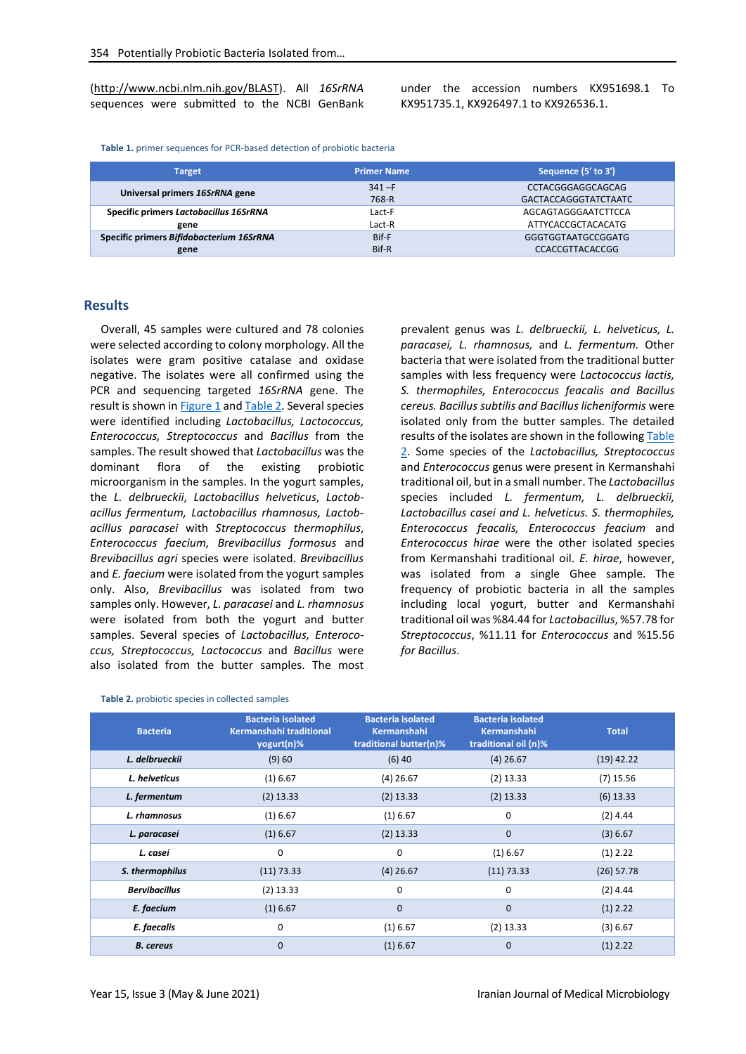(http://www.ncbi.nlm.nih.gov/BLAST). All *16SrRNA* sequences were submitted to the NCBI GenBank under the accession numbers KX951698.1 To KX951735.1, KX926497.1 to KX926536.1.

<span id="page-2-0"></span>**Table 1.** primer sequences for PCR-based detection of probiotic bacteria

| <b>Target</b>                            | <b>Primer Name</b> | Sequence (5' to 3')         |
|------------------------------------------|--------------------|-----------------------------|
| Universal primers 16SrRNA gene           | $341 - F$          | CCTACGGGAGGCAGCAG           |
|                                          | 768-R              | <b>GACTACCAGGGTATCTAATC</b> |
| Specific primers Lactobacillus 16SrRNA   | Lact-F             | AGCAGTAGGGAATCTTCCA         |
| gene                                     | Lact-R             | ATTYCACCGCTACACATG          |
| Specific primers Bifidobacterium 16SrRNA | Bif-F              | GGGTGGTAATGCCGGATG          |
| gene                                     | Bif-R              | <b>CCACCGTTACACCGG</b>      |

#### **Results**

Overall, 45 samples were cultured and 78 colonies were selected according to colony morphology. All the isolates were gram positive catalase and oxidase negative. The isolates were all confirmed using the PCR and sequencing targeted *16SrRNA* gene. The result is shown in [Figure 1](#page-3-0) an[d Table 2.](#page-2-1) Several species were identified including *Lactobacillus, Lactococcus, Enterococcus, Streptococcus* and *Bacillus* from the samples. The result showed that *Lactobacillus* was the dominant flora of the existing probiotic microorganism in the samples. In the yogurt samples, the *L. delbrueckii*, *Lactobacillus helveticus*, *Lactobacillus fermentum, Lactobacillus rhamnosus, Lactobacillus paracasei* with *Streptococcus thermophilus*, *Enterococcus faecium, Brevibacillus formosus* and *Brevibacillus agri* species were isolated. *Brevibacillus* and *E. faecium* were isolated from the yogurt samples only. Also, *Brevibacillus* was isolated from two samples only. However, *L. paracasei* and *L. rhamnosus* were isolated from both the yogurt and butter samples. Several species of *Lactobacillus, Enterococcus, Streptococcus, Lactococcus* and *Bacillus* were also isolated from the butter samples. The most prevalent genus was *L. delbrueckii, L. helveticus, L. paracasei, L. rhamnosus,* and *L. fermentum.* Other bacteria that were isolated from the traditional butter samples with less frequency were *Lactococcus lactis, S. thermophiles, Enterococcus feacalis and Bacillus cereus. Bacillus subtilis and Bacillus licheniformis* were isolated only from the butter samples. The detailed results of the isolates are shown in the followin[g Table](#page-2-1)  [2.](#page-2-1) Some species of the *Lactobacillus, Streptococcus* and *Enterococcus* genus were present in Kermanshahi traditional oil, but in a small number. The *Lactobacillus* species included *L. fermentum, L. delbrueckii, Lactobacillus casei and L. helveticus. S. thermophiles, Enterococcus feacalis, Enterococcus feacium* and *Enterococcus hirae* were the other isolated species from Kermanshahi traditional oil. *E. hirae*, however, was isolated from a single Ghee sample. The frequency of probiotic bacteria in all the samples including local yogurt, butter and Kermanshahi traditional oil was %84.44 for *Lactobacillus*, %57.78 for *Streptococcus*, %11.11 for *Enterococcus* and %15.56 *for Bacillus*.

<span id="page-2-1"></span>

|  | Table 2. probiotic species in collected samples |  |  |
|--|-------------------------------------------------|--|--|
|--|-------------------------------------------------|--|--|

| <b>Bacteria</b>      | <b>Bacteria isolated</b><br>Kermanshahi traditional<br>yogurt(n)% | <b>Bacteria isolated</b><br><b>Kermanshahi</b><br>traditional butter(n)% | <b>Bacteria isolated</b><br>Kermanshahi<br>traditional oil (n)% | <b>Total</b> |
|----------------------|-------------------------------------------------------------------|--------------------------------------------------------------------------|-----------------------------------------------------------------|--------------|
| L. delbrueckii       | (9)60                                                             | $(6)$ 40                                                                 | $(4)$ 26.67                                                     | $(19)$ 42.22 |
| L. helveticus        | (1) 6.67                                                          | $(4)$ 26.67                                                              | $(2)$ 13.33                                                     | $(7)$ 15.56  |
| L. fermentum         | $(2)$ 13.33                                                       | $(2)$ 13.33                                                              | $(2)$ 13.33                                                     | $(6)$ 13.33  |
| L. rhamnosus         | (1) 6.67                                                          | $(1)$ 6.67                                                               | 0                                                               | $(2)$ 4.44   |
| L. paracasei         | (1) 6.67                                                          | $(2)$ 13.33                                                              | $\mathbf 0$                                                     | (3) 6.67     |
| L. casei             | 0                                                                 | 0                                                                        | $(1)$ 6.67                                                      | $(1)$ 2.22   |
| S. thermophilus      | (11) 73.33                                                        | $(4)$ 26.67                                                              | (11) 73.33                                                      | $(26)$ 57.78 |
| <b>Bervibacillus</b> | $(2)$ 13.33                                                       | 0                                                                        | 0                                                               | $(2)$ 4.44   |
| E. faecium           | $(1)$ 6.67                                                        | $\mathbf 0$                                                              | $\mathbf 0$                                                     | $(1)$ 2.22   |
| E. faecalis          | 0                                                                 | $(1)$ 6.67                                                               | $(2)$ 13.33                                                     | (3) 6.67     |
| <b>B.</b> cereus     | 0                                                                 | $(1)$ 6.67                                                               | $\mathbf 0$                                                     | $(1)$ 2.22   |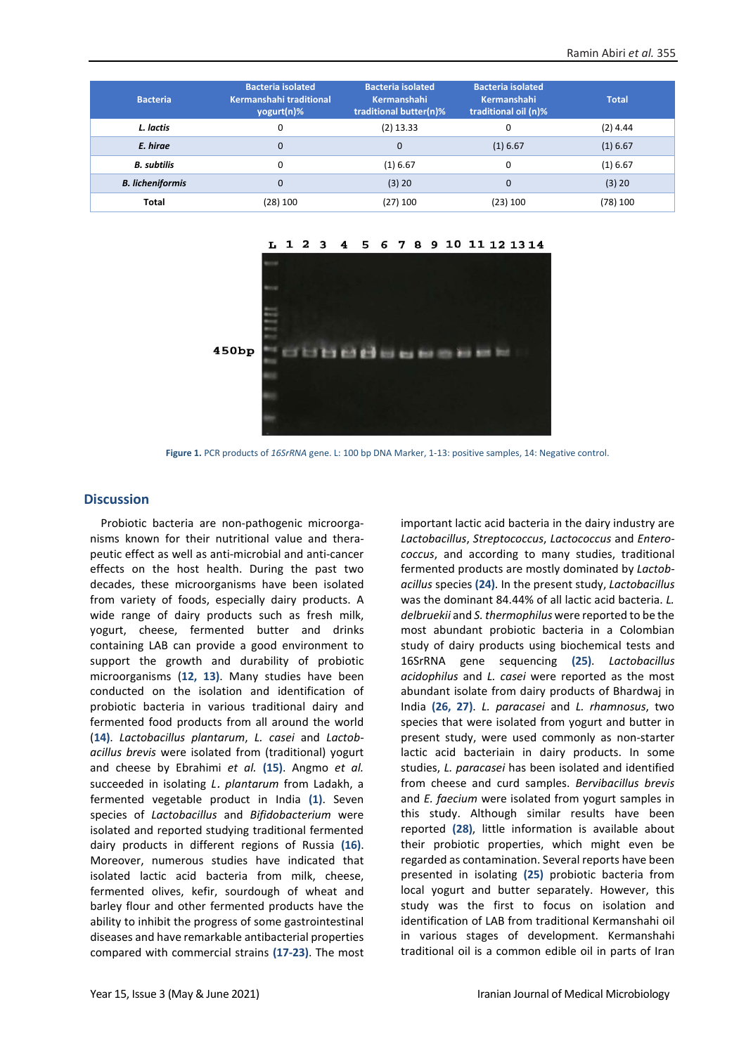| <b>Bacteria</b>         | <b>Bacteria isolated</b><br>Kermanshahi traditional<br>yogurt(n)% | <b>Bacteria isolated</b><br>Kermanshahi<br>traditional butter(n)% | <b>Bacteria isolated</b><br><b>Kermanshahi</b><br>traditional oil (n)% | <b>Total</b> |
|-------------------------|-------------------------------------------------------------------|-------------------------------------------------------------------|------------------------------------------------------------------------|--------------|
| L. lactis               | 0                                                                 | $(2)$ 13.33                                                       | 0                                                                      | $(2)$ 4.44   |
| E. hirae                | $\mathbf 0$                                                       | $\mathbf 0$                                                       | $(1)$ 6.67                                                             | $(1)$ 6.67   |
| <b>B.</b> subtilis      | 0                                                                 | $(1)$ 6.67                                                        | 0                                                                      | $(1)$ 6.67   |
| <b>B.</b> licheniformis | $\mathbf 0$                                                       | (3) 20                                                            | $\Omega$                                                               | (3) 20       |
| <b>Total</b>            | (28) 100                                                          | $(27)$ 100                                                        | (23) 100                                                               | (78) 100     |



**Figure 1.** PCR products of *16SrRNA* gene. L: 100 bp DNA Marker, 1-13: positive samples, 14: Negative control.

#### <span id="page-3-0"></span>**Discussion**

Probiotic bacteria are non-pathogenic microorganisms known for their nutritional value and therapeutic effect as well as anti-microbial and anti-cancer effects on the host health. During the past two decades, these microorganisms have been isolated from variety of foods, especially dairy products. A wide range of dairy products such as fresh milk, yogurt, cheese, fermented butter and drinks containing LAB can provide a good environment to support the growth and durability of probiotic microorganisms (**12, 13)**. Many studies have been conducted on the isolation and identification of probiotic bacteria in various traditional dairy and fermented food products from all around the world (**14)**. *Lactobacillus plantarum*, *L. casei* and *Lactobacillus brevis* were isolated from (traditional) yogurt and cheese by Ebrahimi *et al.* **(15)**. Angmo *et al.* succeeded in isolating *L*. *plantarum* from Ladakh, a fermented vegetable product in India **(1)**. Seven species of *Lactobacillus* and *Bifidobacterium* were isolated and reported studying traditional fermented dairy products in different regions of Russia **(16)**. Moreover, numerous studies have indicated that isolated lactic acid bacteria from milk, cheese, fermented olives, kefir, sourdough of wheat and barley flour and other fermented products have the ability to inhibit the progress of some gastrointestinal diseases and have remarkable antibacterial properties compared with commercial strains **(17-23)**. The most

important lactic acid bacteria in the dairy industry are *Lactobacillus*, *Streptococcus*, *Lactococcus* and *Enterococcus*, and according to many studies, traditional fermented products are mostly dominated by *Lactobacillus* species **(24)**. In the present study, *Lactobacillus* was the dominant 84.44% of all lactic acid bacteria. *L. delbruekii* and *S. thermophilus* were reported to be the most abundant probiotic bacteria in a Colombian study of dairy products using biochemical tests and 16SrRNA gene sequencing **(25)**. *Lactobacillus acidophilus* and *L. casei* were reported as the most abundant isolate from dairy products of Bhardwaj in India **(26, 27)**. *L. paracasei* and *L. rhamnosus*, two species that were isolated from yogurt and butter in present study, were used commonly as non-starter lactic acid bacteriain in dairy products. In some studies, *L. paracasei* has been isolated and identified from cheese and curd samples. *Bervibacillus brevis* and *E. faecium* were isolated from yogurt samples in this study. Although similar results have been reported **(28)**, little information is available about their probiotic properties, which might even be regarded as contamination. Several reports have been presented in isolating **(25)** probiotic bacteria from local yogurt and butter separately. However, this study was the first to focus on isolation and identification of LAB from traditional Kermanshahi oil in various stages of development. Kermanshahi traditional oil is a common edible oil in parts of Iran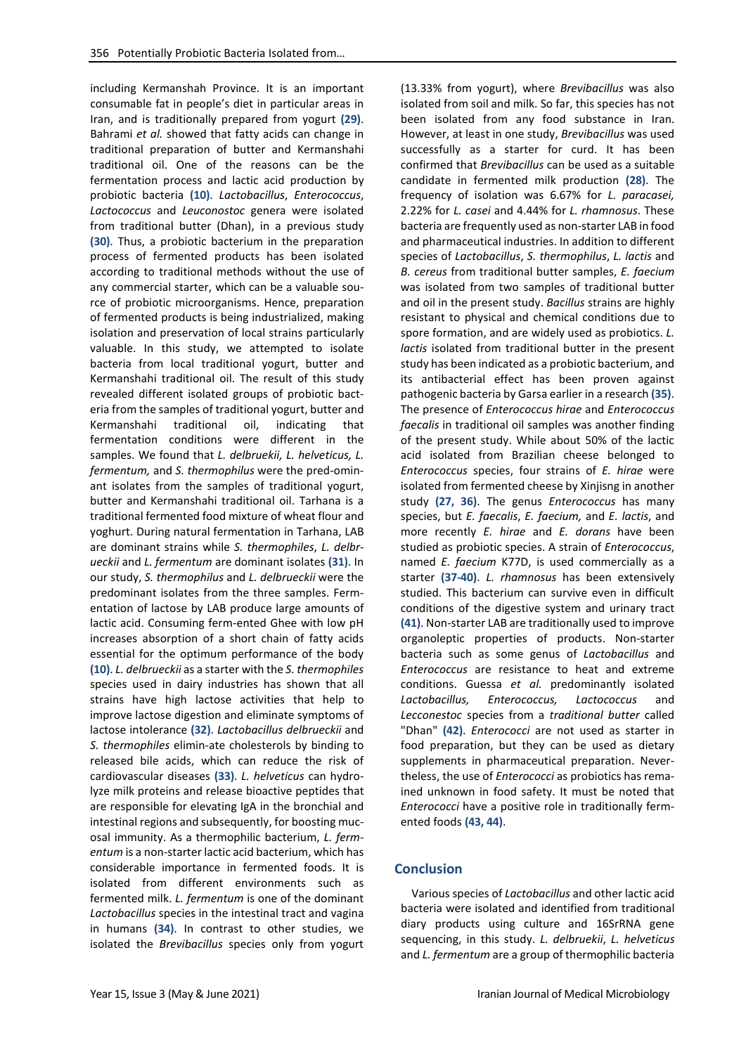including Kermanshah Province. It is an important consumable fat in people's diet in particular areas in Iran, and is traditionally prepared from yogurt **(29)**. Bahrami *et al.* showed that fatty acids can change in traditional preparation of butter and Kermanshahi traditional oil. One of the reasons can be the fermentation process and lactic acid production by probiotic bacteria **(10)**. *Lactobacillus*, *Enterococcus*, *Lactococcus* and *Leuconostoc* genera were isolated from traditional butter (Dhan), in a previous study **(30)**. Thus, a probiotic bacterium in the preparation process of fermented products has been isolated according to traditional methods without the use of any commercial starter, which can be a valuable source of probiotic microorganisms. Hence, preparation of fermented products is being industrialized, making isolation and preservation of local strains particularly valuable. In this study, we attempted to isolate bacteria from local traditional yogurt, butter and Kermanshahi traditional oil. The result of this study revealed different isolated groups of probiotic bacteria from the samples of traditional yogurt, butter and Kermanshahi traditional oil, indicating that fermentation conditions were different in the samples. We found that *L. delbruekii, L. helveticus, L. fermentum,* and *S. thermophilus* were the pred-ominant isolates from the samples of traditional yogurt, butter and Kermanshahi traditional oil. Tarhana is a traditional fermented food mixture of wheat flour and yoghurt. During natural fermentation in Tarhana, LAB are dominant strains while *S. thermophiles*, *L. delbrueckii* and *L. fermentum* are dominant isolates **(31)**. In our study, *S. thermophilus* and *L. delbrueckii* were the predominant isolates from the three samples. Fermentation of lactose by LAB produce large amounts of lactic acid. Consuming ferm-ented Ghee with low pH increases absorption of a short chain of fatty acids essential for the optimum performance of the body **(10)**. *L. delbrueckii* as a starter with the *S. thermophiles* species used in dairy industries has shown that all strains have high lactose activities that help to improve lactose digestion and eliminate symptoms of lactose intolerance **(32)**. *Lactobacillus delbrueckii* and *S. thermophiles* elimin-ate cholesterols by binding to released bile acids, which can reduce the risk of cardiovascular diseases **(33)**. *L. helveticus* can hydrolyze milk proteins and release bioactive peptides that are responsible for elevating IgA in the bronchial and intestinal regions and subsequently, for boosting mucosal immunity. As a thermophilic bacterium, *L. fermentum* is a non-starter lactic acid bacterium, which has considerable importance in fermented foods. It is isolated from different environments such as fermented milk. *L. fermentum* is one of the dominant *Lactobacillus* species in the intestinal tract and vagina in humans **(34)**. In contrast to other studies, we isolated the *Brevibacillus* species only from yogurt

(13.33% from yogurt), where *Brevibacillus* was also isolated from soil and milk. So far, this species has not been isolated from any food substance in Iran. However, at least in one study, *Brevibacillus* was used successfully as a starter for curd. It has been confirmed that *Brevibacillus* can be used as a suitable candidate in fermented milk production **(28)**. The frequency of isolation was 6.67% for *L. paracasei,* 2.22% for *L. casei* and 4.44% for *L. rhamnosus*. These bacteria are frequently used as non-starter LAB in food and pharmaceutical industries. In addition to different species of *Lactobacillus*, *S. thermophilus*, *L. lactis* and *B. cereus* from traditional butter samples, *E. faecium* was isolated from two samples of traditional butter and oil in the present study. *Bacillus* strains are highly resistant to physical and chemical conditions due to spore formation, and are widely used as probiotics. *L. lactis* isolated from traditional butter in the present study has been indicated as a probiotic bacterium, and its antibacterial effect has been proven against pathogenic bacteria by Garsa earlier in a research **(35)**. The presence of *Enterococcus hirae* and *Enterococcus faecalis* in traditional oil samples was another finding of the present study. While about 50% of the lactic acid isolated from Brazilian cheese belonged to *Enterococcus* species, four strains of *E. hirae* were isolated from fermented cheese by Xinjisng in another study **(27, 36)**. The genus *Enterococcus* has many species, but *E. faecalis*, *E. faecium,* and *E. lactis*, and more recently *E. hirae* and *E. dorans* have been studied as probiotic species. A strain of *Enterococcus*, named *E. faecium* K77D, is used commercially as a starter **(37-40)**. *L. rhamnosus* has been extensively studied. This bacterium can survive even in difficult conditions of the digestive system and urinary tract **(41)**. Non-starter LAB are traditionally used to improve organoleptic properties of products. Non-starter bacteria such as some genus of *Lactobacillus* and *Enterococcus* are resistance to heat and extreme conditions. Guessa *et al.* predominantly isolated *Lactobacillus, Enterococcus, Lactococcus* and *Lecconestoc* species from a *traditional butter* called "Dhan" **(42)**. *Enterococci* are not used as starter in food preparation, but they can be used as dietary supplements in pharmaceutical preparation. Nevertheless, the use of *Enterococci* as probiotics has remained unknown in food safety. It must be noted that *Enterococci* have a positive role in traditionally fermented foods **(43, 44)**.

#### **Conclusion**

Various species of *Lactobacillus* and other lactic acid bacteria were isolated and identified from traditional diary products using culture and 16SrRNA gene sequencing, in this study. *L. delbruekii*, *L. helveticus* and *L. fermentum* are a group of thermophilic bacteria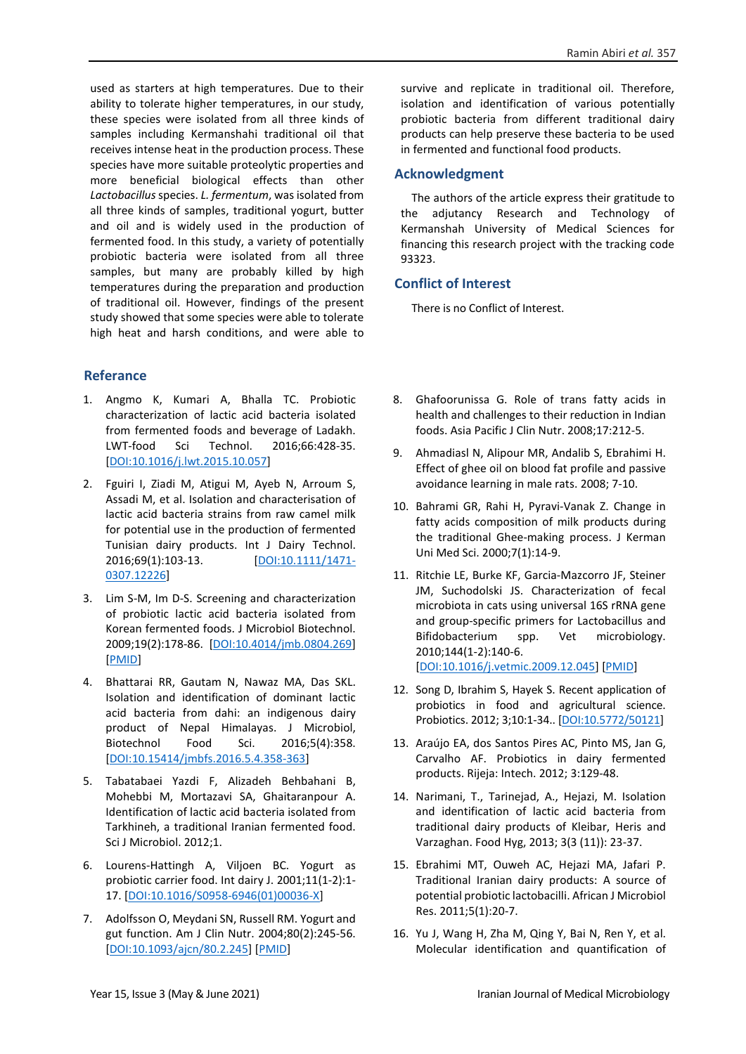used as starters at high temperatures. Due to their ability to tolerate higher temperatures, in our study, these species were isolated from all three kinds of samples including Kermanshahi traditional oil that receives intense heat in the production process. These species have more suitable proteolytic properties and more beneficial biological effects than other *Lactobacillus*species. *L. fermentum*, was isolated from all three kinds of samples, traditional yogurt, butter and oil and is widely used in the production of fermented food. In this study, a variety of potentially probiotic bacteria were isolated from all three samples, but many are probably killed by high temperatures during the preparation and production of traditional oil. However, findings of the present study showed that some species were able to tolerate high heat and harsh conditions, and were able to

# **Referance**

- 1. Angmo K, Kumari A, Bhalla TC. Probiotic characterization of lactic acid bacteria isolated from fermented foods and beverage of Ladakh. LWT-food Sci Technol. 2016;66:428-35. [\[DOI:10.1016/j.lwt.2015.10.057\]](https://doi.org/10.1016/j.lwt.2015.10.057)
- 2. Fguiri I, Ziadi M, Atigui M, Ayeb N, Arroum S, Assadi M, et al. Isolation and characterisation of lactic acid bacteria strains from raw camel milk for potential use in the production of fermented Tunisian dairy products. Int J Dairy Technol. 2016;69(1):103-13. [\[DOI:10.1111/1471-](https://doi.org/10.1111/1471-0307.12226) [0307.12226\]](https://doi.org/10.1111/1471-0307.12226)
- 3. Lim S-M, Im D-S. Screening and characterization of probiotic lactic acid bacteria isolated from Korean fermented foods. J Microbiol Biotechnol. 2009;19(2):178-86. [\[DOI:10.4014/jmb.0804.269\]](https://doi.org/10.4014/jmb.0804.269) [\[PMID\]](https://www.ncbi.nlm.nih.gov/pubmed/19307768)
- 4. Bhattarai RR, Gautam N, Nawaz MA, Das SKL. Isolation and identification of dominant lactic acid bacteria from dahi: an indigenous dairy product of Nepal Himalayas. J Microbiol, Biotechnol Food Sci. 2016;5(4):358. [\[DOI:10.15414/jmbfs.2016.5.4.358-363\]](https://doi.org/10.15414/jmbfs.2016.5.4.358-363)
- 5. Tabatabaei Yazdi F, Alizadeh Behbahani B, Mohebbi M, Mortazavi SA, Ghaitaranpour A. Identification of lactic acid bacteria isolated from Tarkhineh, a traditional Iranian fermented food. Sci J Microbiol. 2012;1.
- 6. Lourens-Hattingh A, Viljoen BC. Yogurt as probiotic carrier food. Int dairy J. 2001;11(1-2):1- 17. [\[DOI:10.1016/S0958-6946\(01\)00036-X\]](https://doi.org/10.1016/S0958-6946(01)00036-X)
- 7. Adolfsson O, Meydani SN, Russell RM. Yogurt and gut function. Am J Clin Nutr. 2004;80(2):245-56. [\[DOI:10.1093/ajcn/80.2.245\]](https://doi.org/10.1093/ajcn/80.2.245) [\[PMID\]](https://www.ncbi.nlm.nih.gov/pubmed/15277142)

survive and replicate in traditional oil. Therefore, isolation and identification of various potentially probiotic bacteria from different traditional dairy products can help preserve these bacteria to be used in fermented and functional food products.

## **Acknowledgment**

The authors of the article express their gratitude to the adjutancy Research and Technology of Kermanshah University of Medical Sciences for financing this research project with the tracking code 93323.

# **Conflict of Interest**

There is no Conflict of Interest.

- 8. Ghafoorunissa G. Role of trans fatty acids in health and challenges to their reduction in Indian foods. Asia Pacific J Clin Nutr. 2008;17:212-5.
- 9. Ahmadiasl N, Alipour MR, Andalib S, Ebrahimi H. Effect of ghee oil on blood fat profile and passive avoidance learning in male rats. 2008; 7-10.
- 10. Bahrami GR, Rahi H, Pyravi-Vanak Z. Change in fatty acids composition of milk products during the traditional Ghee-making process. J Kerman Uni Med Sci. 2000;7(1):14-9.
- 11. Ritchie LE, Burke KF, Garcia-Mazcorro JF, Steiner JM, Suchodolski JS. Characterization of fecal microbiota in cats using universal 16S rRNA gene and group-specific primers for Lactobacillus and Bifidobacterium spp. Vet microbiology. 2010;144(1-2):140-6. [\[DOI:10.1016/j.vetmic.2009.12.045\]](https://doi.org/10.1016/j.vetmic.2009.12.045) [\[PMID\]](https://www.ncbi.nlm.nih.gov/pubmed/20092970)
- 12. Song D, Ibrahim S, Hayek S. Recent application of probiotics in food and agricultural science. Probiotics. 2012; 3;10:1-34.. [\[DOI:10.5772/50121\]](https://doi.org/10.5772/50121)
- 13. Araújo EA, dos Santos Pires AC, Pinto MS, Jan G, Carvalho AF. Probiotics in dairy fermented products. Rijeja: Intech. 2012; 3:129-48.
- 14. Narimani, T., Tarinejad, A., Hejazi, M. Isolation and identification of lactic acid bacteria from traditional dairy products of Kleibar, Heris and Varzaghan. Food Hyg, 2013; 3(3 (11)): 23-37.
- 15. Ebrahimi MT, Ouweh AC, Hejazi MA, Jafari P. Traditional Iranian dairy products: A source of potential probiotic lactobacilli. African J Microbiol Res. 2011;5(1):20-7.
- 16. Yu J, Wang H, Zha M, Qing Y, Bai N, Ren Y, et al. Molecular identification and quantification of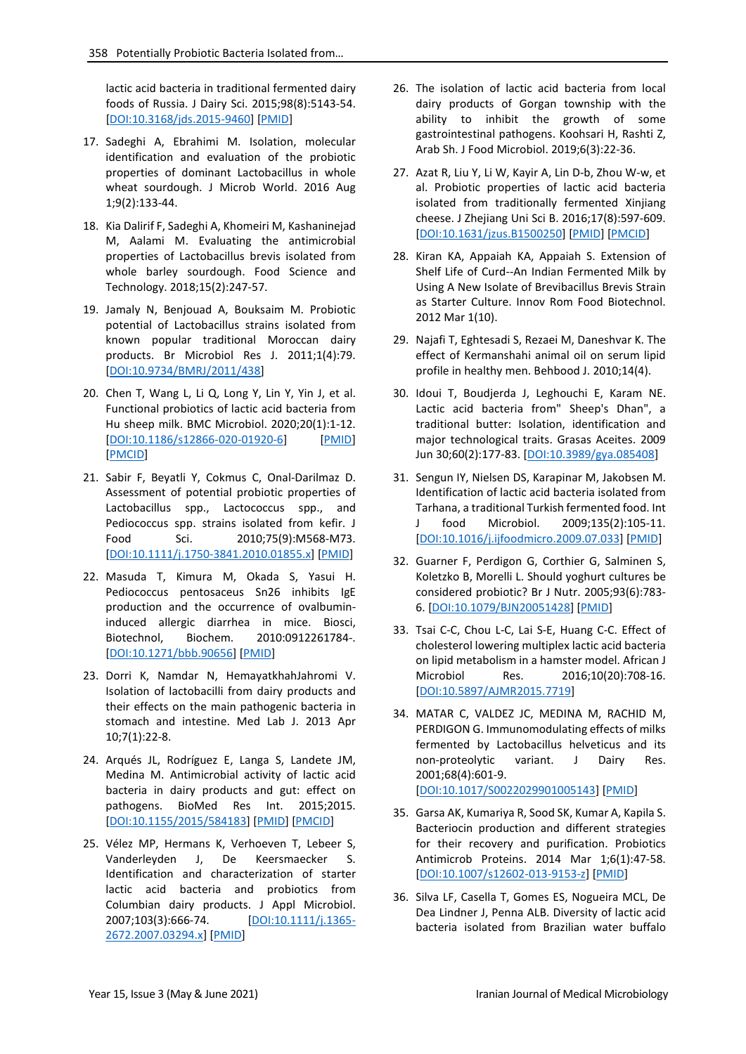lactic acid bacteria in traditional fermented dairy foods of Russia. J Dairy Sci. 2015;98(8):5143-54. [\[DOI:10.3168/jds.2015-9460\]](https://doi.org/10.3168/jds.2015-9460) [\[PMID\]](https://www.ncbi.nlm.nih.gov/pubmed/26004836)

- 17. Sadeghi A, Ebrahimi M. Isolation, molecular identification and evaluation of the probiotic properties of dominant Lactobacillus in whole wheat sourdough. J Microb World. 2016 Aug 1;9(2):133-44.
- 18. Kia Dalirif F, Sadeghi A, Khomeiri M, Kashaninejad M, Aalami M. Evaluating the antimicrobial properties of Lactobacillus brevis isolated from whole barley sourdough. Food Science and Technology. 2018;15(2):247-57.
- 19. Jamaly N, Benjouad A, Bouksaim M. Probiotic potential of Lactobacillus strains isolated from known popular traditional Moroccan dairy products. Br Microbiol Res J. 2011;1(4):79. [\[DOI:10.9734/BMRJ/2011/438\]](https://doi.org/10.9734/BMRJ/2011/438)
- 20. Chen T, Wang L, Li Q, Long Y, Lin Y, Yin J, et al. Functional probiotics of lactic acid bacteria from Hu sheep milk. BMC Microbiol. 2020;20(1):1-12. [\[DOI:10.1186/s12866-020-01920-6\]](https://doi.org/10.1186/s12866-020-01920-6) [\[PMID\]](https://www.ncbi.nlm.nih.gov/pubmed/32723292) [\[PMCID\]](http://www.ncbi.nlm.nih.gov/pmc/articles/PMC7390111)
- 21. Sabir F, Beyatli Y, Cokmus C, Onal-Darilmaz D. Assessment of potential probiotic properties of Lactobacillus spp., Lactococcus spp., and Pediococcus spp. strains isolated from kefir. J Food Sci. 2010;75(9):M568-M73. [\[DOI:10.1111/j.1750-3841.2010.01855.x\]](https://doi.org/10.1111/j.1750-3841.2010.01855.x) [\[PMID\]](https://www.ncbi.nlm.nih.gov/pubmed/21535612)
- 22. Masuda T, Kimura M, Okada S, Yasui H. Pediococcus pentosaceus Sn26 inhibits IgE production and the occurrence of ovalbumininduced allergic diarrhea in mice. Biosci, Biotechnol, Biochem. 2010:0912261784-. [\[DOI:10.1271/bbb.90656\]](https://doi.org/10.1271/bbb.90656) [\[PMID\]](https://www.ncbi.nlm.nih.gov/pubmed/20139622)
- 23. Dorri K, Namdar N, HemayatkhahJahromi V. Isolation of lactobacilli from dairy products and their effects on the main pathogenic bacteria in stomach and intestine. Med Lab J. 2013 Apr 10;7(1):22-8.
- 24. Arqués JL, Rodríguez E, Langa S, Landete JM, Medina M. Antimicrobial activity of lactic acid bacteria in dairy products and gut: effect on pathogens. BioMed Res Int. 2015;2015. [\[DOI:10.1155/2015/584183\]](https://doi.org/10.1155/2015/584183) [\[PMID\]](https://www.ncbi.nlm.nih.gov/pubmed/25861634) [\[PMCID\]](http://www.ncbi.nlm.nih.gov/pmc/articles/PMC4378328)
- 25. Vélez MP, Hermans K, Verhoeven T, Lebeer S, Vanderleyden J, De Keersmaecker S. Identification and characterization of starter lactic acid bacteria and probiotics from Columbian dairy products. J Appl Microbiol. 2007;103(3):666-74. [\[DOI:10.1111/j.1365-](https://doi.org/10.1111/j.1365-2672.2007.03294.x) [2672.2007.03294.x\]](https://doi.org/10.1111/j.1365-2672.2007.03294.x) [\[PMID\]](https://www.ncbi.nlm.nih.gov/pubmed/17714400)
- 26. The isolation of lactic acid bacteria from local dairy products of Gorgan township with the ability to inhibit the growth of some gastrointestinal pathogens. Koohsari H, Rashti Z, Arab Sh. J Food Microbiol. 2019;6(3):22-36.
- 27. Azat R, Liu Y, Li W, Kayir A, Lin D-b, Zhou W-w, et al. Probiotic properties of lactic acid bacteria isolated from traditionally fermented Xinjiang cheese. J Zhejiang Uni Sci B. 2016;17(8):597-609. [\[DOI:10.1631/jzus.B1500250\]](https://doi.org/10.1631/jzus.B1500250) [\[PMID\]](https://www.ncbi.nlm.nih.gov/pubmed/27487805) [\[PMCID\]](http://www.ncbi.nlm.nih.gov/pmc/articles/PMC4980438)
- 28. Kiran KA, Appaiah KA, Appaiah S. Extension of Shelf Life of Curd--An Indian Fermented Milk by Using A New Isolate of Brevibacillus Brevis Strain as Starter Culture. Innov Rom Food Biotechnol. 2012 Mar 1(10).
- 29. Najafi T, Eghtesadi S, Rezaei M, Daneshvar K. The effect of Kermanshahi animal oil on serum lipid profile in healthy men. Behbood J. 2010;14(4).
- 30. Idoui T, Boudjerda J, Leghouchi E, Karam NE. Lactic acid bacteria from" Sheep's Dhan", a traditional butter: Isolation, identification and major technological traits. Grasas Aceites. 2009 Jun 30;60(2):177-83. [\[DOI:10.3989/gya.085408\]](https://doi.org/10.3989/gya.085408)
- 31. Sengun IY, Nielsen DS, Karapinar M, Jakobsen M. Identification of lactic acid bacteria isolated from Tarhana, a traditional Turkish fermented food. Int J food Microbiol. 2009;135(2):105-11. [\[DOI:10.1016/j.ijfoodmicro.2009.07.033\]](https://doi.org/10.1016/j.ijfoodmicro.2009.07.033) [\[PMID\]](https://www.ncbi.nlm.nih.gov/pubmed/19703719)
- 32. Guarner F, Perdigon G, Corthier G, Salminen S, Koletzko B, Morelli L. Should yoghurt cultures be considered probiotic? Br J Nutr. 2005;93(6):783- 6. [\[DOI:10.1079/BJN20051428\]](https://doi.org/10.1079/BJN20051428) [\[PMID\]](https://www.ncbi.nlm.nih.gov/pubmed/16022746)
- 33. Tsai C-C, Chou L-C, Lai S-E, Huang C-C. Effect of cholesterol lowering multiplex lactic acid bacteria on lipid metabolism in a hamster model. African J Microbiol Res. 2016;10(20):708-16. [\[DOI:10.5897/AJMR2015.7719\]](https://doi.org/10.5897/AJMR2015.7719)
- 34. MATAR C, VALDEZ JC, MEDINA M, RACHID M, PERDIGON G. Immunomodulating effects of milks fermented by Lactobacillus helveticus and its non-proteolytic variant. J Dairy Res. 2001;68(4):601-9. [\[DOI:10.1017/S0022029901005143\]](https://doi.org/10.1017/S0022029901005143) [\[PMID\]](https://www.ncbi.nlm.nih.gov/pubmed/11928956)
- 35. Garsa AK, Kumariya R, Sood SK, Kumar A, Kapila S. Bacteriocin production and different strategies for their recovery and purification. Probiotics Antimicrob Proteins. 2014 Mar 1;6(1):47-58. [\[DOI:10.1007/s12602-013-9153-z\]](https://doi.org/10.1007/s12602-013-9153-z) [\[PMID\]](https://www.ncbi.nlm.nih.gov/pubmed/24676767)
- 36. Silva LF, Casella T, Gomes ES, Nogueira MCL, De Dea Lindner J, Penna ALB. Diversity of lactic acid bacteria isolated from Brazilian water buffalo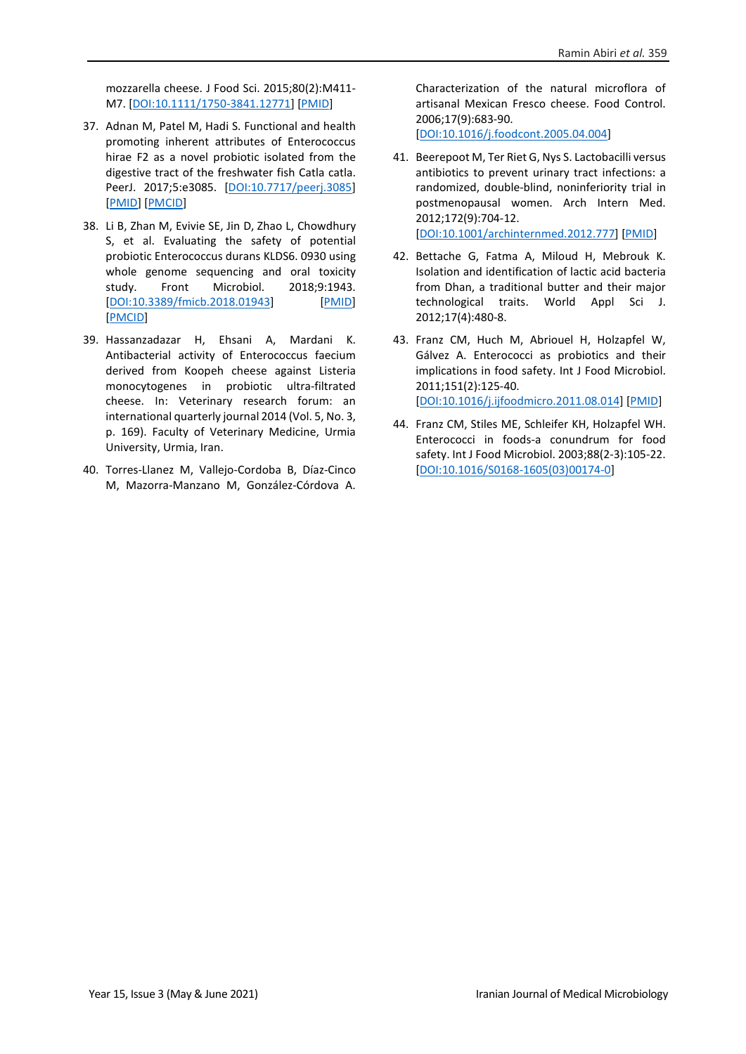mozzarella cheese. J Food Sci. 2015;80(2):M411- M7. [\[DOI:10.1111/1750-3841.12771\]](https://doi.org/10.1111/1750-3841.12771) [\[PMID\]](https://www.ncbi.nlm.nih.gov/pubmed/25597646)

- 37. Adnan M, Patel M, Hadi S. Functional and health promoting inherent attributes of Enterococcus hirae F2 as a novel probiotic isolated from the digestive tract of the freshwater fish Catla catla. PeerJ. 2017;5:e3085. [\[DOI:10.7717/peerj.3085\]](https://doi.org/10.7717/peerj.3085) [\[PMID\]](https://www.ncbi.nlm.nih.gov/pubmed/28316889) [\[PMCID\]](http://www.ncbi.nlm.nih.gov/pmc/articles/PMC5356477)
- 38. Li B, Zhan M, Evivie SE, Jin D, Zhao L, Chowdhury S, et al. Evaluating the safety of potential probiotic Enterococcus durans KLDS6. 0930 using whole genome sequencing and oral toxicity study. Front Microbiol. 2018;9:1943. [\[DOI:10.3389/fmicb.2018.01943\]](https://doi.org/10.3389/fmicb.2018.01943) [\[PMID\]](https://www.ncbi.nlm.nih.gov/pubmed/30186262) [\[PMCID\]](http://www.ncbi.nlm.nih.gov/pmc/articles/PMC6110905)
- 39. Hassanzadazar H, Ehsani A, Mardani K. Antibacterial activity of Enterococcus faecium derived from Koopeh cheese against Listeria monocytogenes in probiotic ultra-filtrated cheese. In: Veterinary research forum: an international quarterly journal 2014 (Vol. 5, No. 3, p. 169). Faculty of Veterinary Medicine, Urmia University, Urmia, Iran.
- 40. Torres-Llanez M, Vallejo-Cordoba B, Díaz-Cinco M, Mazorra-Manzano M, González-Córdova A.

Characterization of the natural microflora of artisanal Mexican Fresco cheese. Food Control. 2006;17(9):683-90.

[\[DOI:10.1016/j.foodcont.2005.04.004\]](https://doi.org/10.1016/j.foodcont.2005.04.004)

- 41. Beerepoot M, Ter Riet G, Nys S. Lactobacilli versus antibiotics to prevent urinary tract infections: a randomized, double-blind, noninferiority trial in postmenopausal women. Arch Intern Med. 2012;172(9):704-12. [\[DOI:10.1001/archinternmed.2012.777\]](https://doi.org/10.1001/archinternmed.2012.777) [\[PMID\]](https://www.ncbi.nlm.nih.gov/pubmed/22782199)
- 42. Bettache G, Fatma A, Miloud H, Mebrouk K. Isolation and identification of lactic acid bacteria from Dhan, a traditional butter and their major technological traits. World Appl Sci J. 2012;17(4):480-8.
- 43. Franz CM, Huch M, Abriouel H, Holzapfel W, Gálvez A. Enterococci as probiotics and their implications in food safety. Int J Food Microbiol. 2011;151(2):125-40. [\[DOI:10.1016/j.ijfoodmicro.2011.08.014\]](https://doi.org/10.1016/j.ijfoodmicro.2011.08.014) [\[PMID\]](https://www.ncbi.nlm.nih.gov/pubmed/21962867)
- 44. Franz CM, Stiles ME, Schleifer KH, Holzapfel WH. Enterococci in foods-a conundrum for food safety. Int J Food Microbiol. 2003;88(2-3):105-22. [\[DOI:10.1016/S0168-1605\(03\)00174-0\]](https://doi.org/10.1016/S0168-1605(03)00174-0)